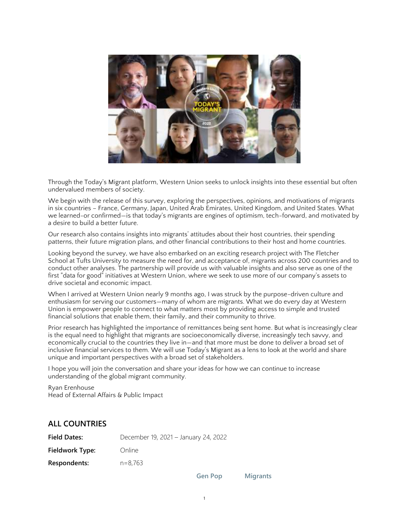

Through the Today's Migrant platform, Western Union seeks to unlock insights into these essential but often undervalued members of society.

We begin with the release of this survey, exploring the perspectives, opinions, and motivations of migrants in six countries – France, Germany, Japan, United Arab Emirates, United Kingdom, and United States. What we learned-or confirmed—is that today's migrants are engines of optimism, tech-forward, and motivated by a desire to build a better future.

Our research also contains insights into migrants' attitudes about their host countries, their spending patterns, their future migration plans, and other financial contributions to their host and home countries.

Looking beyond the survey, we have also embarked on an exciting research project with The Fletcher School at Tufts University to measure the need for, and acceptance of, migrants across 200 countries and to conduct other analyses. The partnership will provide us with valuable insights and also serve as one of the first "data for good" initiatives at Western Union, where we seek to use more of our company's assets to drive societal and economic impact.

When I arrived at Western Union nearly 9 months ago, I was struck by the purpose-driven culture and enthusiasm for serving our customers—many of whom are migrants. What we do every day at Western Union is empower people to connect to what matters most by providing access to simple and trusted financial solutions that enable them, their family, and their community to thrive.

Prior research has highlighted the importance of remittances being sent home. But what is increasingly clear is the equal need to highlight that migrants are socioeconomically diverse, increasingly tech savvy, and economically crucial to the countries they live in—and that more must be done to deliver a broad set of inclusive financial services to them. We will use Today's Migrant as a lens to look at the world and share unique and important perspectives with a broad set of stakeholders.

I hope you will join the conversation and share your ideas for how we can continue to increase understanding of the global migrant community.

Ryan Erenhouse Head of External Affairs & Public Impact

#### **ALL COUNTRIES**

| <b>Field Dates:</b> | December 19, 2021 - January 24, 2022 |
|---------------------|--------------------------------------|
| Fieldwork Type:     | Online                               |
| Respondents:        | $n=8.763$                            |

**Gen Pop Migrants**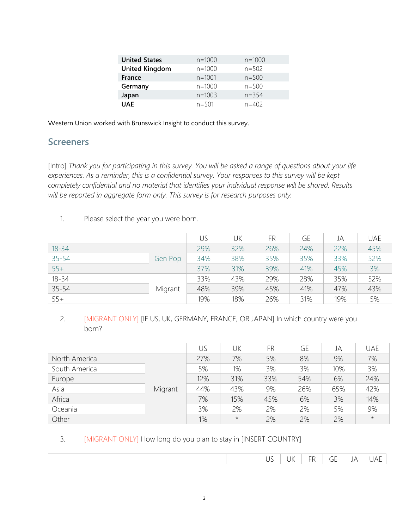| <b>United States</b>  | $n = 1000$ | $n = 1000$ |
|-----------------------|------------|------------|
| <b>United Kingdom</b> | $n = 1000$ | $n = 502$  |
| France                | $n = 1001$ | $n = 500$  |
| Germany               | $n = 1000$ | $n = 500$  |
| Japan                 | $n = 1003$ | $n = 354$  |
| <b>UAE</b>            | $n = 501$  | $n = 402$  |

Western Union worked with Brunswick Insight to conduct this survey.

### **Screeners**

[Intro] *Thank you for participating in this survey. You will be asked a range of questions about your life experiences. As a reminder, this is a confidential survey. Your responses to this survey will be kept completely confidential and no material that identifies your individual response will be shared. Results will be reported in aggregate form only. This survey is for research purposes only.*

|           |         | US  | UK  | FR  | <b>GE</b> | JA  | <b>UAE</b> |
|-----------|---------|-----|-----|-----|-----------|-----|------------|
| $18 - 34$ |         | 29% | 32% | 26% | 24%       | 22% | 45%        |
| $35 - 54$ | Gen Pop | 34% | 38% | 35% | 35%       | 33% | 52%        |
| $55+$     |         | 37% | 31% | 39% | 41%       | 45% | 3%         |
| $18 - 34$ |         | 33% | 43% | 29% | 28%       | 35% | 52%        |
| $35 - 54$ | Migrant | 48% | 39% | 45% | 41%       | 47% | 43%        |
| $55+$     |         | 19% | 18% | 26% | 31%       | 19% | 5%         |

#### 2. [MIGRANT ONLY] [IF US, UK, GERMANY, FRANCE, OR JAPAN] In which country were you born?

|               |         | US. | UK         | FR  | GE  | JA  | <b>UAE</b> |
|---------------|---------|-----|------------|-----|-----|-----|------------|
| North America |         | 27% | 7%         | 5%  | 8%  | 9%  | 7%         |
| South America |         | 5%  | 1%         | 3%  | 3%  | 10% | 3%         |
| Europe        |         | 12% | 31%        | 33% | 54% | 6%  | 24%        |
| Asia          | Migrant | 44% | 43%        | 9%  | 26% | 65% | 42%        |
| Africa        |         | 7%  | 15%        | 45% | 6%  | 3%  | 14%        |
| Oceania       |         | 3%  | 2%         | 2%  | 2%  | 5%  | 9%         |
| Other         |         | 1%  | $^{\star}$ | 2%  | 2%  | 2%  | $\star$    |

#### 3. [MIGRANT ONLY] How long do you plan to stay in [INSERT COUNTRY]

|  |  |  | . <i>. .</i> . | . . | $- -$ | $\overline{\phantom{0}}$<br>$\sim$<br>- r<br>◡ | _ | .<br>$\cdots$<br>_<br>$\overline{\phantom{0}}$ |
|--|--|--|----------------|-----|-------|------------------------------------------------|---|------------------------------------------------|
|--|--|--|----------------|-----|-------|------------------------------------------------|---|------------------------------------------------|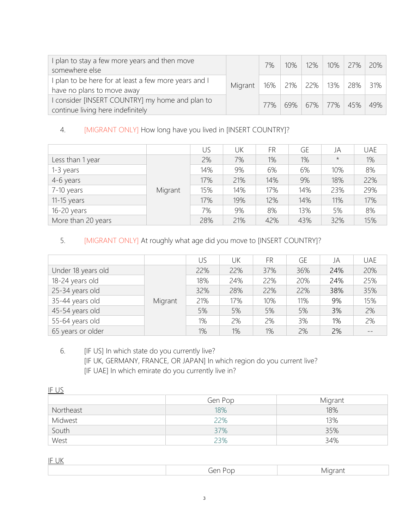| plan to stay a few more years and then move<br>somewhere else                        |         | 7%  | $10\%$ | $12\%$   10%   27%   20% |                 |     |
|--------------------------------------------------------------------------------------|---------|-----|--------|--------------------------|-----------------|-----|
| I plan to be here for at least a few more years and I<br>have no plans to move away  | Migrant |     |        | 16%   21%   22%   13%    | 28%   31%       |     |
| I consider [INSERT COUNTRY] my home and plan to<br>continue living here indefinitely |         | 77% | $69\%$ |                          | 67%   77%   45% | 49% |

## 4. [MIGRANT ONLY] How long have you lived in [INSERT COUNTRY]?

|                    |         | US  | UK  | FR.   | GE  | JA      | <b>UAE</b> |
|--------------------|---------|-----|-----|-------|-----|---------|------------|
| Less than 1 year   |         | 2%  | 7%  | $1\%$ | 1%  | $\star$ | 1%         |
| 1-3 years          |         | 14% | 9%  | 6%    | 6%  | 10%     | 8%         |
| 4-6 years          |         | 17% | 21% | 14%   | 9%  | 18%     | 22%        |
| 7-10 years         | Migrant | 15% | 14% | 17%   | 14% | 23%     | 29%        |
| $11-15$ years      |         | 17% | 19% | 12%   | 14% | 11%     | 17%        |
| 16-20 years        |         | 7%  | 9%  | 8%    | 13% | 5%      | 8%         |
| More than 20 years |         | 28% | 21% | 42%   | 43% | 32%     | 15%        |

## 5. [MIGRANT ONLY] At roughly what age did you move to [INSERT COUNTRY]?

|                    |         | US  | UK  | FR  | GE  | JA  | <b>UAE</b> |
|--------------------|---------|-----|-----|-----|-----|-----|------------|
| Under 18 years old |         | 22% | 22% | 37% | 36% | 24% | 20%        |
| 18-24 years old    |         | 18% | 24% | 22% | 20% | 24% | 25%        |
| 25-34 years old    |         | 32% | 28% | 22% | 22% | 38% | 35%        |
| 35-44 years old    | Migrant | 21% | 17% | 10% | 11% | 9%  | 15%        |
| 45-54 years old    |         | 5%  | 5%  | 5%  | 5%  | 3%  | 2%         |
| 55-64 years old    |         | 1%  | 2%  | 2%  | 3%  | 1%  | 2%         |
| 65 years or older  |         | 1%  | 1%  | 1%  | 2%  | 2%  |            |

### 6. [IF US] In which state do you currently live? [IF UK, GERMANY, FRANCE, OR JAPAN] In which region do you current live? [IF UAE] In which emirate do you currently live in?

| IF US     |         |         |
|-----------|---------|---------|
|           | Gen Pop | Migrant |
| Northeast | 18%     | 18%     |
| Midwest   | 22%     | 13%     |
| South     | 37%     | 35%     |
| West      | 23%     | 34%     |

IF UK

| . |                          |  |
|---|--------------------------|--|
|   | - -<br>$\mathbf{H}$<br>∼ |  |
|   |                          |  |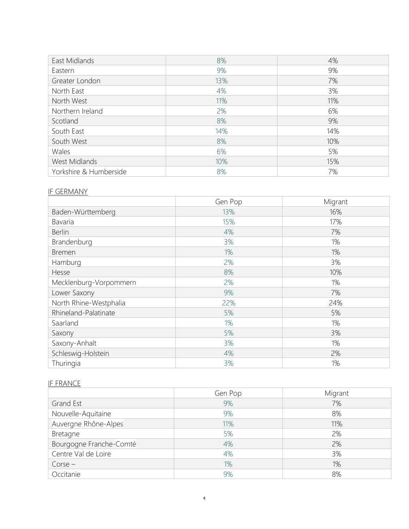| East Midlands          | 8%  | 4%  |
|------------------------|-----|-----|
| Eastern                | 9%  | 9%  |
| Greater London         | 13% | 7%  |
| North East             | 4%  | 3%  |
| North West             | 11% | 11% |
| Northern Ireland       | 2%  | 6%  |
| Scotland               | 8%  | 9%  |
| South East             | 14% | 14% |
| South West             | 8%  | 10% |
| Wales                  | 6%  | 5%  |
| West Midlands          | 10% | 15% |
| Yorkshire & Humberside | 8%  | 7%  |

#### IF GERMANY

|                        | Gen Pop | Migrant |
|------------------------|---------|---------|
| Baden-Württemberg      | 13%     | 16%     |
| <b>Bavaria</b>         | 15%     | 17%     |
| <b>Berlin</b>          | 4%      | 7%      |
| Brandenburg            | 3%      | 1%      |
| <b>Bremen</b>          | 1%      | 1%      |
| Hamburg                | 2%      | 3%      |
| Hesse                  | 8%      | 10%     |
| Mecklenburg-Vorpommern | 2%      | 1%      |
| Lower Saxony           | 9%      | 7%      |
| North Rhine-Westphalia | 22%     | 24%     |
| Rhineland-Palatinate   | 5%      | 5%      |
| Saarland               | 1%      | 1%      |
| Saxony                 | 5%      | 3%      |
| Saxony-Anhalt          | 3%      | 1%      |
| Schleswig-Holstein     | 4%      | 2%      |
| Thuringia              | 3%      | 1%      |

### IF FRANCE

|                         | Gen Pop | Migrant |
|-------------------------|---------|---------|
| Grand Est               | 9%      | 7%      |
| Nouvelle-Aquitaine      | 9%      | 8%      |
| Auvergne Rhône-Alpes    | 11%     | 11%     |
| Bretagne                | 5%      | 2%      |
| Bourgogne Franche-Comté | 4%      | 2%      |
| Centre Val de Loire     | 4%      | 3%      |
| $\text{Core}-$          | 1%      | 1%      |
| Occitanie               | 9%      | 8%      |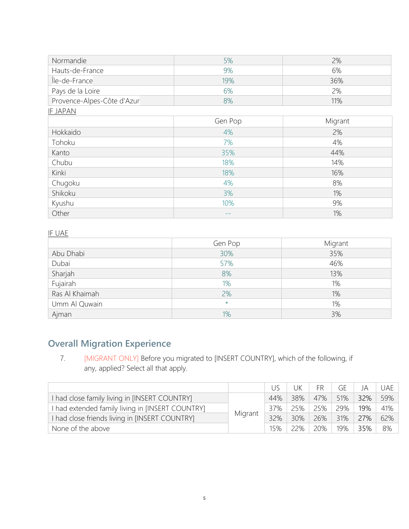| Normandie                  | 5%      | 2%      |
|----------------------------|---------|---------|
| Hauts-de-France            | 9%      | 6%      |
| Île-de-France              | 19%     | 36%     |
| Pays de la Loire           | 6%      | 2%      |
| Provence-Alpes-Côte d'Azur | 8%      | 11%     |
| <b>IF JAPAN</b>            |         |         |
|                            | Gen Pop | Migrant |
| Hokkaido                   | 4%      | 2%      |
| Tohoku                     | 7%      | 4%      |
| Kanto                      | 35%     | 44%     |
| Chubu                      | 18%     | 14%     |
| Kinki                      | 18%     | 16%     |
| Chugoku                    | 4%      | 8%      |
| Shikoku                    | 3%      | 1%      |
| Kyushu                     | 10%     | 9%      |
| Other                      |         | 1%      |

### IF UAE

|                | Gen Pop | Migrant |
|----------------|---------|---------|
| Abu Dhabi      | 30%     | 35%     |
| Dubai          | 57%     | 46%     |
| Sharjah        | 8%      | 13%     |
| Fujairah       | 1%      | 1%      |
| Ras Al Khaimah | 2%      | 1%      |
| Umm Al Quwain  | $\star$ | 1%      |
| Ajman          | 1%      | 3%      |

# **Overall Migration Experience**

7. [MIGRANT ONLY] Before you migrated to [INSERT COUNTRY], which of the following, if any, applied? Select all that apply.

|                                                |         |     | UK  | FR     | GE  | JA  | UAE. |
|------------------------------------------------|---------|-----|-----|--------|-----|-----|------|
| had close family living in [INSERT COUNTRY]    |         | 44% | 38% | 47%    | 51% | 32% | 59%  |
| had extended family living in [INSERT COUNTRY] |         | 37% | 25% | 25%    | 29% | 19% | 41%  |
| I had close friends living in [INSERT COUNTRY] | Migrant | 32% | 30% | $26\%$ | 31% | 27% | 62%  |
| None of the above                              |         | 15% | 22% | 20%    | 19% | 35% | - 8% |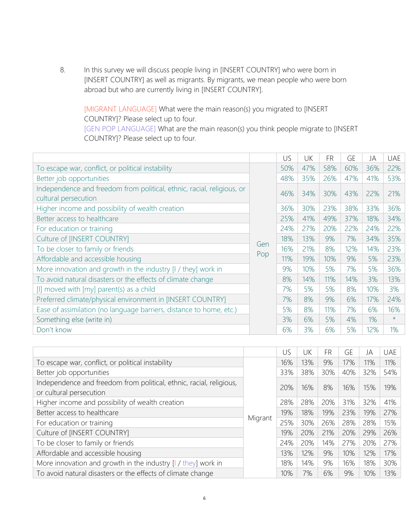8. In this survey we will discuss people living in [INSERT COUNTRY] who were born in [INSERT COUNTRY] as well as migrants. By migrants, we mean people who were born abroad but who are currently living in [INSERT COUNTRY].

[MIGRANT LANGUAGE] What were the main reason(s) you migrated to [INSERT COUNTRY]? Please select up to four. [GEN POP LANGUAGE] What are the main reason(s) you think people migrate to [INSERT

COUNTRY]? Please select up to four.

|                                                                                                |     | US  | UK  | <b>FR</b> | <b>GE</b> | JA    | <b>UAE</b> |
|------------------------------------------------------------------------------------------------|-----|-----|-----|-----------|-----------|-------|------------|
| To escape war, conflict, or political instability                                              |     | 50% | 47% | 58%       | 60%       | 36%   | 22%        |
| Better job opportunities                                                                       |     | 48% | 35% | 26%       | 47%       | 41%   | 53%        |
| Independence and freedom from political, ethnic, racial, religious, or<br>cultural persecution |     | 46% | 34% | 30%       | 43%       | 22%   | 21%        |
| Higher income and possibility of wealth creation                                               |     | 36% | 30% | 23%       | 38%       | 33%   | 36%        |
| Better access to healthcare                                                                    |     | 25% | 41% | 49%       | 37%       | 18%   | 34%        |
| For education or training                                                                      |     | 24% | 27% | 20%       | 22%       | 24%   | 22%        |
| Culture of [INSERT COUNTRY]                                                                    |     | 18% | 13% | 9%        | 7%        | 34%   | 35%        |
| To be closer to family or friends                                                              | Gen | 16% | 21% | 8%        | 12%       | 14%   | 23%        |
| Affordable and accessible housing                                                              | Pop | 11% | 19% | 10%       | 9%        | 5%    | 23%        |
| More innovation and growth in the industry [I / they] work in                                  |     | 9%  | 10% | 5%        | 7%        | 5%    | 36%        |
| To avoid natural disasters or the effects of climate change                                    |     | 8%  | 14% | 11%       | 14%       | 3%    | 13%        |
| [I] moved with [my] parent(s) as a child                                                       |     | 7%  | 5%  | 5%        | 8%        | 10%   | 3%         |
| Preferred climate/physical environment in [INSERT COUNTRY]                                     |     | 7%  | 8%  | 9%        | 6%        | 17%   | 24%        |
| Ease of assimilation (no language barriers, distance to home, etc.)                            |     | 5%  | 8%  | 11%       | 7%        | 6%    | 16%        |
| Something else (write in)                                                                      |     | 3%  | 6%  | 5%        | 4%        | $1\%$ | $\star$    |
| Don't know                                                                                     |     | 6%  | 3%  | 6%        | 5%        | 12%   | 1%         |

|                                                                                                |         | US  | UK  | <b>FR</b> | GE  | JA  | <b>UAE</b> |
|------------------------------------------------------------------------------------------------|---------|-----|-----|-----------|-----|-----|------------|
| To escape war, conflict, or political instability                                              |         | 16% | 13% | 9%        | 17% | 11% | 11%        |
| Better job opportunities                                                                       |         | 33% | 38% | 30%       | 40% | 32% | 54%        |
| Independence and freedom from political, ethnic, racial, religious,<br>or cultural persecution |         | 20% | 16% | 8%        | 16% | 15% | 19%        |
| Higher income and possibility of wealth creation                                               |         | 28% | 28% | 20%       | 31% | 32% | 41%        |
| Better access to healthcare                                                                    |         | 19% | 18% | 19%       | 23% | 19% | 27%        |
| For education or training                                                                      | Migrant | 25% | 30% | 26%       | 28% | 28% | 15%        |
| Culture of [INSERT COUNTRY]                                                                    |         | 19% | 20% | 21%       | 20% | 29% | 26%        |
| To be closer to family or friends                                                              |         | 24% | 20% | 14%       | 27% | 20% | 27%        |
| Affordable and accessible housing                                                              |         | 13% | 12% | 9%        | 10% | 12% | 17%        |
| More innovation and growth in the industry $[1 / \text{they}]$ work in                         |         | 18% | 14% | 9%        | 16% | 18% | 30%        |
| To avoid natural disasters or the effects of climate change                                    |         | 10% | 7%  | 6%        | 9%  | 10% | 13%        |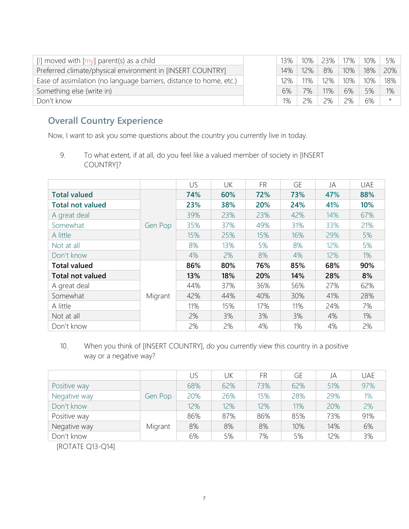| [I] moved with $[my]$ parent(s) as a child                          | 13% | 10% | 23% | 17% | $10\%$ | 5%      |
|---------------------------------------------------------------------|-----|-----|-----|-----|--------|---------|
| Preferred climate/physical environment in [INSERT COUNTRY]          | 14% | 12% | 8%  | 10% | 18%    | 20%     |
| Ease of assimilation (no language barriers, distance to home, etc.) | 12% | 11% | 12% | 10% | 10%    | 18%     |
| Something else (write in)                                           | 6%  | 7%  | 11% | 6%  | 5%     | 1%      |
| Don't know                                                          | 1%  | 2%  | 2%  | 2%  | 6%     | $\star$ |

# **Overall Country Experience**

Now, I want to ask you some questions about the country you currently live in today.

9. To what extent, if at all, do you feel like a valued member of society in [INSERT COUNTRY]?

|                         |         | US  | UK  | <b>FR</b> | <b>GE</b> | JA  | <b>UAE</b> |
|-------------------------|---------|-----|-----|-----------|-----------|-----|------------|
| <b>Total valued</b>     |         | 74% | 60% | 72%       | 73%       | 47% | 88%        |
| <b>Total not valued</b> |         | 23% | 38% | 20%       | 24%       | 41% | 10%        |
| A great deal            |         | 39% | 23% | 23%       | 42%       | 14% | 67%        |
| Somewhat                | Gen Pop | 35% | 37% | 49%       | 31%       | 33% | 21%        |
| A little                |         | 15% | 25% | 15%       | 16%       | 29% | 5%         |
| Not at all              |         | 8%  | 13% | 5%        | 8%        | 12% | 5%         |
| Don't know              |         | 4%  | 2%  | 8%        | 4%        | 12% | $1\%$      |
| <b>Total valued</b>     |         | 86% | 80% | 76%       | 85%       | 68% | 90%        |
| <b>Total not valued</b> |         | 13% | 18% | 20%       | 14%       | 28% | 8%         |
| A great deal            |         | 44% | 37% | 36%       | 56%       | 27% | 62%        |
| Somewhat                | Migrant | 42% | 44% | 40%       | 30%       | 41% | 28%        |
| A little                |         | 11% | 15% | 17%       | 11%       | 24% | 7%         |
| Not at all              |         | 2%  | 3%  | 3%        | 3%        | 4%  | 1%         |
| Don't know              |         | 2%  | 2%  | 4%        | 1%        | 4%  | 2%         |

10. When you think of [INSERT COUNTRY], do you currently view this country in a positive way or a negative way?

|              |         | US  | UK  | FR  | GE  | JA  | <b>UAE</b> |
|--------------|---------|-----|-----|-----|-----|-----|------------|
| Positive way |         | 68% | 62% | 73% | 62% | 51% | 97%        |
| Negative way | Gen Pop | 20% | 26% | 15% | 28% | 29% | 1%         |
| Don't know   |         | 12% | 12% | 12% | 11% | 20% | 2%         |
| Positive way |         | 86% | 87% | 86% | 85% | 73% | 91%        |
| Negative way | Migrant | 8%  | 8%  | 8%  | 10% | 14% | 6%         |
| Don't know   |         | 6%  | 5%  | 7%  | 5%  | 12% | 3%         |
|              |         |     |     |     |     |     |            |

[ROTATE Q13-Q14]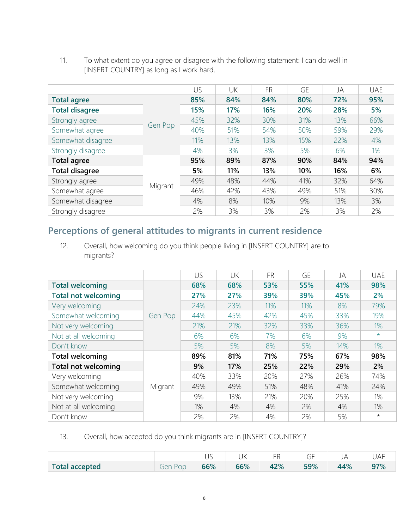- US UK FR GE JA UAE **Total agree** Gen Pop **85% 84% 84% 80% 72% 95% Total disagree 15% 17% 16% 20% 28% 5%** Strongly agree 20 20 20 32% 32% 30% 31% 31% 31% 66% Somewhat agree 40% 51% 54% 50% 59% 29% Somewhat disagree 11% 11% 13% 13% 15% 22% 4% Strongly disagree 1 4% 4% 3% 3% 5% 6% 1% **Total agree** Migrant **95% 89% 87% 90% 84% 94% Total disagree 5% 11% 13% 10% 16% 6%** Strongly agree 1... 1 49% 48% 44% 41% 32% 64% Somewhat agree 46% 42% 43% 49% 51% 30% Somewhat disagree 1 10% 10% 10% 13% 3% Strongly disagree 2% 2% 3% 3% 2% 3% 2%
- 11. To what extent do you agree or disagree with the following statement: I can do well in [INSERT COUNTRY] as long as I work hard.

## **Perceptions of general attitudes to migrants in current residence**

12. Overall, how welcoming do you think people living in [INSERT COUNTRY] are to migrants?

|                            |         | US  | UK  | <b>FR</b> | GE  | JA  | <b>UAE</b> |
|----------------------------|---------|-----|-----|-----------|-----|-----|------------|
| <b>Total welcoming</b>     |         | 68% | 68% | 53%       | 55% | 41% | 98%        |
| <b>Total not welcoming</b> |         | 27% | 27% | 39%       | 39% | 45% | 2%         |
| Very welcoming             |         | 24% | 23% | 11%       | 11% | 8%  | 79%        |
| Somewhat welcoming         | Gen Pop | 44% | 45% | 42%       | 45% | 33% | 19%        |
| Not very welcoming         |         | 21% | 21% | 32%       | 33% | 36% | $1\%$      |
| Not at all welcoming       |         | 6%  | 6%  | 7%        | 6%  | 9%  | $\star$    |
| Don't know                 |         | 5%  | 5%  | 8%        | 5%  | 14% | 1%         |
| <b>Total welcoming</b>     |         | 89% | 81% | 71%       | 75% | 67% | 98%        |
| <b>Total not welcoming</b> |         | 9%  | 17% | 25%       | 22% | 29% | 2%         |
| Very welcoming             |         | 40% | 33% | 20%       | 27% | 26% | 74%        |
| Somewhat welcoming         | Migrant | 49% | 49% | 51%       | 48% | 41% | 24%        |
| Not very welcoming         |         | 9%  | 13% | 21%       | 20% | 25% | 1%         |
| Not at all welcoming       |         | 1%  | 4%  | 4%        | 2%  | 4%  | 1%         |
| Don't know                 |         | 2%  | 2%  | 4%        | 2%  | 5%  | $\star$    |

13. Overall, how accepted do you think migrants are in [INSERT COUNTRY]?

|                |           | $\sim$<br>◡◡ | 11/<br>UN | $ -$ | $\sim$ $-$<br>UĽ |    |    |
|----------------|-----------|--------------|-----------|------|------------------|----|----|
| Total accepted | oer<br>ÜL | 66%          | 66%       | 42%  | 59%              | 4% | 70 |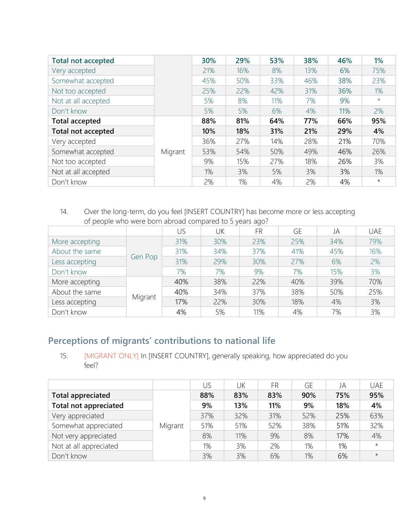| <b>Total not accepted</b> |         | 30% | 29% | 53% | 38% | 46% | 1%      |
|---------------------------|---------|-----|-----|-----|-----|-----|---------|
| Very accepted             |         | 21% | 16% | 8%  | 13% | 6%  | 75%     |
| Somewhat accepted         |         | 45% | 50% | 33% | 46% | 38% | 23%     |
| Not too accepted          |         | 25% | 22% | 42% | 31% | 36% | 1%      |
| Not at all accepted       |         | 5%  | 8%  | 11% | 7%  | 9%  | $\star$ |
| Don't know                |         | 5%  | 5%  | 6%  | 4%  | 11% | 2%      |
| <b>Total accepted</b>     |         | 88% | 81% | 64% | 77% | 66% | 95%     |
| Total not accepted        |         | 10% | 18% | 31% | 21% | 29% | 4%      |
| Very accepted             |         | 36% | 27% | 14% | 28% | 21% | 70%     |
| Somewhat accepted         | Migrant | 53% | 54% | 50% | 49% | 46% | 26%     |
| Not too accepted          |         | 9%  | 15% | 27% | 18% | 26% | 3%      |
| Not at all accepted       |         | 1%  | 3%  | 5%  | 3%  | 3%  | 1%      |
| Don't know                |         | 2%  | 1%  | 4%  | 2%  | 4%  | $\star$ |

14. Over the long-term, do you feel [INSERT COUNTRY] has become more or less accepting of people who were born abroad compared to 5 years ago?

|                |         |     |     | $\checkmark$ |     |     |            |
|----------------|---------|-----|-----|--------------|-----|-----|------------|
|                |         | US  | UK  | <b>FR</b>    | GE  | JA  | <b>UAE</b> |
| More accepting |         | 31% | 30% | 23%          | 25% | 34% | 79%        |
| About the same |         | 31% | 34% | 37%          | 41% | 45% | 16%        |
| Less accepting | Gen Pop | 31% | 29% | 30%          | 27% | 6%  | 2%         |
| Don't know     |         | 7%  | 7%  | 9%           | 7%  | 15% | 3%         |
| More accepting |         | 40% | 38% | 22%          | 40% | 39% | 70%        |
| About the same |         | 40% | 34% | 37%          | 38% | 50% | 25%        |
| Less accepting | Migrant | 17% | 22% | 30%          | 18% | 4%  | 3%         |
| Don't know     |         | 4%  | 5%  | 11%          | 4%  | 7%  | 3%         |

# **Perceptions of migrants' contributions to national life**

15. [MIGRANT ONLY] In [INSERT COUNTRY], generally speaking, how appreciated do you feel?

|                              |         | US  | UK  | FR  | GE  | JA  | <b>UAE</b> |
|------------------------------|---------|-----|-----|-----|-----|-----|------------|
| <b>Total appreciated</b>     |         | 88% | 83% | 83% | 90% | 75% | 95%        |
| <b>Total not appreciated</b> |         | 9%  | 13% | 11% | 9%  | 18% | 4%         |
| Very appreciated             |         | 37% | 32% | 31% | 52% | 25% | 63%        |
| Somewhat appreciated         | Migrant | 51% | 51% | 52% | 38% | 51% | 32%        |
| Not very appreciated         |         | 8%  | 11% | 9%  | 8%  | 17% | 4%         |
| Not at all appreciated       |         | 1%  | 3%  | 2%  | 1%  | 1%  | $\star$    |
| Don't know                   |         | 3%  | 3%  | 6%  | 1%  | 6%  | $\star$    |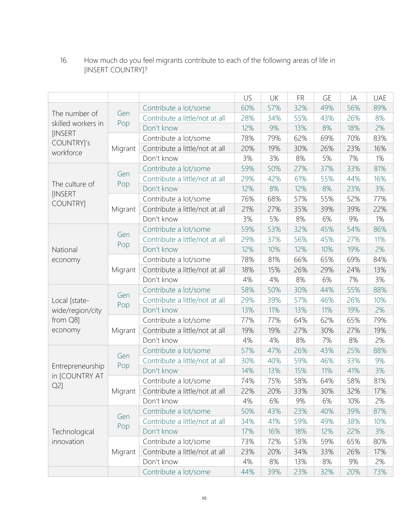16. How much do you feel migrants contribute to each of the following areas of life in [INSERT COUNTRY]?

|                                    |         |                                          | US  | <b>UK</b> | <b>FR</b> | <b>GE</b> | JA  | <b>UAE</b> |
|------------------------------------|---------|------------------------------------------|-----|-----------|-----------|-----------|-----|------------|
|                                    |         | Contribute a lot/some                    | 60% | 57%       | 32%       | 49%       | 56% | 89%        |
| The number of                      | Gen     | Contribute a little/not at all           | 28% | 34%       | 55%       | 43%       | 26% | 8%         |
| skilled workers in                 | Pop     | Don't know                               | 12% | 9%        | 13%       | 8%        | 18% | 2%         |
| <b>INSERT</b>                      |         | Contribute a lot/some                    | 78% | 79%       | 62%       | 69%       | 70% | 83%        |
| COUNTRY]'s<br>workforce            | Migrant | Contribute a little/not at all           | 20% | 19%       | 30%       | 26%       | 23% | 16%        |
|                                    |         | Don't know                               | 3%  | 3%        | 8%        | 5%        | 7%  | 1%         |
|                                    |         | Contribute a lot/some                    | 59% | 50%       | 27%       | 37%       | 33% | 81%        |
|                                    | Gen     | Contribute a little/not at all           | 29% | 42%       | 61%       | 55%       | 44% | 16%        |
| The culture of                     | Pop     | Don't know                               | 12% | 8%        | 12%       | 8%        | 23% | 3%         |
| [INSERT<br><b>COUNTRY</b>          |         | Contribute a lot/some                    | 76% | 68%       | 57%       | 55%       | 52% | 77%        |
|                                    | Migrant | Contribute a little/not at all           | 21% | 27%       | 35%       | 39%       | 39% | 22%        |
|                                    |         | Don't know                               | 3%  | 5%        | 8%        | 6%        | 9%  | 1%         |
|                                    |         | Contribute a lot/some                    | 59% | 53%       | 32%       | 45%       | 54% | 86%        |
|                                    | Gen     | Contribute a little/not at all           | 29% | 37%       | 56%       | 45%       | 27% | 11%        |
| National                           | Pop     | Don't know                               | 12% | 10%       | 12%       | 10%       | 19% | 2%         |
| economy                            |         | Contribute a lot/some                    | 78% | 81%       | 66%       | 65%       | 69% | 84%        |
| Migrant                            |         | Contribute a little/not at all           | 18% | 15%       | 26%       | 29%       | 24% | 13%        |
|                                    |         | Don't know                               | 4%  | 4%        | 8%        | 6%        | 7%  | 3%         |
|                                    |         | Contribute a lot/some                    | 58% | 50%       | 30%       | 44%       | 55% | 88%        |
| Gen<br>Local [state-               |         | Contribute a little/not at all           | 29% | 39%       | 57%       | 46%       | 26% | 10%        |
| wide/region/city                   | Pop     | Don't know                               | 13% | 11%       | 13%       | 11%       | 19% | 2%         |
| from Q8]                           |         | Contribute a lot/some                    | 77% | 77%       | 64%       | 62%       | 65% | 79%        |
| economy                            | Migrant | Contribute a little/not at all           | 19% | 19%       | 27%       | 30%       | 27% | 19%        |
|                                    |         | Don't know                               | 4%  | 4%        | 8%        | 7%        | 8%  | 2%         |
|                                    | Gen     | Contribute a lot/some                    | 57% | 47%       | 26%       | 43%       | 25% | 88%        |
|                                    | Pop     | Contribute a little/not at all           | 30% | 40%       | 59%       | 46%       | 33% | 9%         |
| Entrepreneurship<br>in [COUNTRY AT |         | Don't know                               | 14% | 13%       | 15%       | 11%       | 41% | 3%         |
| $Q2$ ]                             |         | Contribute a lot/some                    | 74% | 75%       | 58%       | 64%       | 58% | 81%        |
|                                    |         | Migrant   Contribute a little/not at all | 22% | 20%       | 33%       | 30%       | 32% | 17%        |
|                                    |         | Don't know                               | 4%  | 6%        | 9%        | 6%        | 10% | 2%         |
|                                    | Gen     | Contribute a lot/some                    | 50% | 43%       | 23%       | 40%       | 39% | 87%        |
|                                    | Pop     | Contribute a little/not at all           | 34% | 41%       | 59%       | 49%       | 38% | 10%        |
| Technological                      |         | Don't know                               | 17% | 16%       | 18%       | 12%       | 22% | 3%         |
| innovation                         |         | Contribute a lot/some                    | 73% | 72%       | 53%       | 59%       | 65% | 80%        |
|                                    | Migrant | Contribute a little/not at all           | 23% | 20%       | 34%       | 33%       | 26% | 17%        |
|                                    |         | Don't know                               | 4%  | 8%        | 13%       | 8%        | 9%  | 2%         |
|                                    |         | Contribute a lot/some                    | 44% | 39%       | 23%       | 32%       | 20% | 73%        |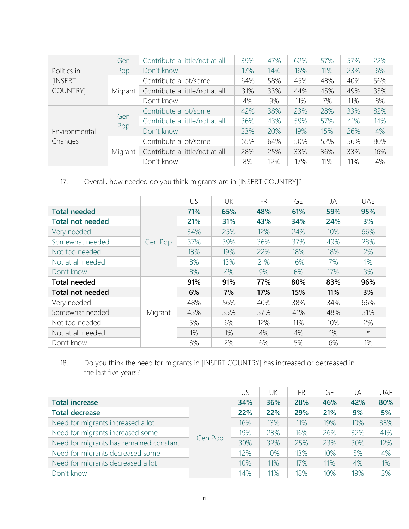|                | Gen                   | Contribute a little/not at all | 39% | 47% | 62% | 57% | 57% | 22% |
|----------------|-----------------------|--------------------------------|-----|-----|-----|-----|-----|-----|
| Politics in    | Don't know<br>Pop     |                                | 17% | 14% | 16% | 11% | 23% | 6%  |
| <b>INSERT</b>  |                       | Contribute a lot/some          | 64% | 58% | 45% | 48% | 40% | 56% |
| <b>COUNTRY</b> | Migrant               | Contribute a little/not at all | 31% | 33% | 44% | 45% | 49% | 35% |
|                |                       | Don't know                     | 4%  | 9%  | 11% | 7%  | 11% | 8%  |
|                |                       | Contribute a lot/some          | 42% | 38% | 23% | 28% | 33% | 82% |
|                | Gen                   | Contribute a little/not at all | 36% | 43% | 59% | 57% | 41% | 14% |
| Environmental  | Pop                   | Don't know                     | 23% | 20% | 19% | 15% | 26% | 4%  |
| Changes        | Contribute a lot/some | 65%                            | 64% | 50% | 52% | 56% | 80% |     |
|                | Migrant               | Contribute a little/not at all | 28% | 25% | 33% | 36% | 33% | 16% |
|                |                       | Don't know                     | 8%  | 12% | 17% | 11% | 11% | 4%  |

## 17. Overall, how needed do you think migrants are in [INSERT COUNTRY]?

|                         |         | US  | UK  | <b>FR</b> | GE  | JA  | <b>UAE</b> |
|-------------------------|---------|-----|-----|-----------|-----|-----|------------|
| <b>Total needed</b>     |         | 71% | 65% | 48%       | 61% | 59% | 95%        |
| <b>Total not needed</b> |         | 21% | 31% | 43%       | 34% | 24% | 3%         |
| Very needed             |         | 34% | 25% | 12%       | 24% | 10% | 66%        |
| Somewhat needed         | Gen Pop | 37% | 39% | 36%       | 37% | 49% | 28%        |
| Not too needed          |         | 13% | 19% | 22%       | 18% | 18% | 2%         |
| Not at all needed       |         | 8%  | 13% | 21%       | 16% | 7%  | 1%         |
| Don't know              |         | 8%  | 4%  | 9%        | 6%  | 17% | 3%         |
| <b>Total needed</b>     |         | 91% | 91% | 77%       | 80% | 83% | 96%        |
| <b>Total not needed</b> |         | 6%  | 7%  | 17%       | 15% | 11% | 3%         |
| Very needed             |         | 48% | 56% | 40%       | 38% | 34% | 66%        |
| Somewhat needed         | Migrant | 43% | 35% | 37%       | 41% | 48% | 31%        |
| Not too needed          |         | 5%  | 6%  | 12%       | 11% | 10% | 2%         |
| Not at all needed       |         | 1%  | 1%  | 4%        | 4%  | 1%  | $\star$    |
| Don't know              |         | 3%  | 2%  | 6%        | 5%  | 6%  | 1%         |

18. Do you think the need for migrants in [INSERT COUNTRY] has increased or decreased in the last five years?

|                                         |         | US  | UK  | FR  | GE  | JA  | <b>UAE</b> |
|-----------------------------------------|---------|-----|-----|-----|-----|-----|------------|
| <b>Total increase</b>                   |         | 34% | 36% | 28% | 46% | 42% | 80%        |
| <b>Total decrease</b>                   |         | 22% | 22% | 29% | 21% | 9%  | 5%         |
| Need for migrants increased a lot       |         | 16% | 13% | 11% | 19% | 10% | 38%        |
| Need for migrants increased some        |         | 19% | 23% | 16% | 26% | 32% | 41%        |
| Need for migrants has remained constant | Gen Pop | 30% | 32% | 25% | 23% | 30% | 12%        |
| Need for migrants decreased some        |         | 12% | 10% | 13% | 10% | 5%  | 4%         |
| Need for migrants decreased a lot       |         | 10% | 11% | 17% | 11% | 4%  | 1%         |
| Don't know                              |         | 14% | 11% | 18% | 10% | 19% | 3%         |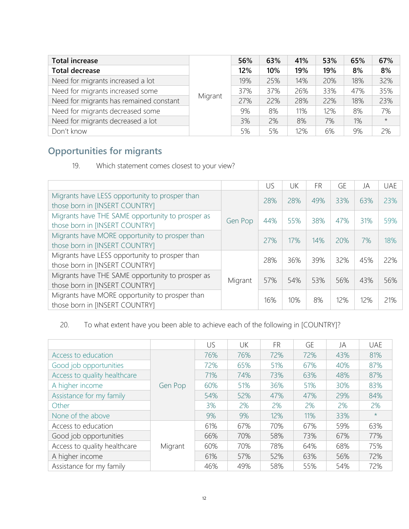| <b>Total increase</b>                   |         | 56% | 63% | 41% | 53% | 65% | 67%     |
|-----------------------------------------|---------|-----|-----|-----|-----|-----|---------|
| <b>Total decrease</b>                   |         | 12% | 10% | 19% | 19% | 8%  | 8%      |
| Need for migrants increased a lot       |         | 19% | 25% | 14% | 20% | 18% | 32%     |
| Need for migrants increased some        |         | 37% | 37% | 26% | 33% | 47% | 35%     |
| Need for migrants has remained constant | Migrant | 27% | 22% | 28% | 22% | 18% | 23%     |
| Need for migrants decreased some        |         | 9%  | 8%  | 11% | 12% | 8%  | 7%      |
| Need for migrants decreased a lot       |         | 3%  | 2%  | 8%  | 7%  | 1%  | $\star$ |
| Don't know                              |         | 5%  | 5%  | 12% | 6%  | 9%  | 2%      |

# **Opportunities for migrants**

19. Which statement comes closest to your view?

|                                                                                    |         | US  | UK  | <b>FR</b> | GE  | JA  | <b>UAE</b> |
|------------------------------------------------------------------------------------|---------|-----|-----|-----------|-----|-----|------------|
| Migrants have LESS opportunity to prosper than<br>those born in [INSERT COUNTRY]   |         | 28% | 28% | 49%       | 33% | 63% | 23%        |
| Migrants have THE SAME opportunity to prosper as<br>those born in [INSERT COUNTRY] | Gen Pop | 44% | 55% | 38%       | 47% | 31% | 59%        |
| Migrants have MORE opportunity to prosper than<br>those born in [INSERT COUNTRY]   |         | 27% | 17% | 14%       | 20% | 7%  | 18%        |
| Migrants have LESS opportunity to prosper than<br>those born in [INSERT COUNTRY]   |         | 28% | 36% | 39%       | 32% | 45% | 22%        |
| Migrants have THE SAME opportunity to prosper as<br>those born in [INSERT COUNTRY] | Migrant | 57% | 54% | 53%       | 56% | 43% | 56%        |
| Migrants have MORE opportunity to prosper than<br>those born in [INSERT COUNTRY]   |         | 16% | 10% | 8%        | 12% | 12% | 21%        |

## 20. To what extent have you been able to achieve each of the following in [COUNTRY]?

|                              |         | US  | UK  | <b>FR</b> | GE  | JA  | <b>UAE</b> |
|------------------------------|---------|-----|-----|-----------|-----|-----|------------|
| Access to education          |         | 76% | 76% | 72%       | 72% | 43% | 81%        |
| Good job opportunities       |         | 72% | 65% | 51%       | 67% | 40% | 87%        |
| Access to quality healthcare |         | 71% | 74% | 73%       | 63% | 48% | 87%        |
| A higher income              | Gen Pop | 60% | 51% | 36%       | 51% | 30% | 83%        |
| Assistance for my family     |         | 54% | 52% | 47%       | 47% | 29% | 84%        |
| Other                        |         | 3%  | 2%  | 2%        | 2%  | 2%  | 2%         |
| None of the above            |         | 9%  | 9%  | 12%       | 11% | 33% | $\star$    |
| Access to education          |         | 61% | 67% | 70%       | 67% | 59% | 63%        |
| Good job opportunities       |         | 66% | 70% | 58%       | 73% | 67% | 77%        |
| Access to quality healthcare | Migrant | 60% | 70% | 78%       | 64% | 68% | 75%        |
| A higher income              |         | 61% | 57% | 52%       | 63% | 56% | 72%        |
| Assistance for my family     |         | 46% | 49% | 58%       | 55% | 54% | 72%        |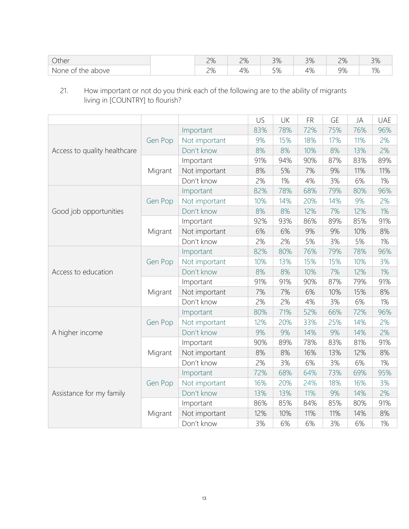| Other                                                      | $\cap$<br>–         | 70/<br>$\mathcal{L}$<br>$ \mu$ .<br>$ \sim$ | $\cap$<br>J 70                | 3%           | $\cap$<br>$\sim$ 70      | $\neg \neg$<br>$\cup$ /V |
|------------------------------------------------------------|---------------------|---------------------------------------------|-------------------------------|--------------|--------------------------|--------------------------|
| above<br>None<br>the<br>$\sim$<br>$\overline{\phantom{a}}$ | $\cap$<br><u> ட</u> | 10/<br>—<br>7 V J                           | $\Gamma$ $\cap$<br>٠,<br>- 70 | $\sim$<br>7C | $\Omega$<br><i>- 1</i> 0 | 10<br>- 7 C              |

21. How important or not do you think each of the following are to the ability of migrants living in [COUNTRY] to flourish?

|                              |         |               | US  | UK  | <b>FR</b> | <b>GE</b> | JA  | UAE   |
|------------------------------|---------|---------------|-----|-----|-----------|-----------|-----|-------|
|                              |         | Important     | 83% | 78% | 72%       | 75%       | 76% | 96%   |
|                              | Gen Pop | Not important | 9%  | 15% | 18%       | 17%       | 11% | 2%    |
| Access to quality healthcare |         | Don't know    | 8%  | 8%  | 10%       | 8%        | 13% | 2%    |
|                              |         | Important     | 91% | 94% | 90%       | 87%       | 83% | 89%   |
|                              | Migrant | Not important | 8%  | 5%  | 7%        | 9%        | 11% | 11%   |
|                              |         | Don't know    | 2%  | 1%  | 4%        | 3%        | 6%  | 1%    |
|                              |         | Important     | 82% | 78% | 68%       | 79%       | 80% | 96%   |
|                              | Gen Pop | Not important | 10% | 14% | 20%       | 14%       | 9%  | 2%    |
| Good job opportunities       |         | Don't know    | 8%  | 8%  | 12%       | 7%        | 12% | 1%    |
|                              |         | Important     | 92% | 93% | 86%       | 89%       | 85% | 91%   |
|                              | Migrant | Not important | 6%  | 6%  | 9%        | 9%        | 10% | 8%    |
|                              |         | Don't know    | 2%  | 2%  | 5%        | 3%        | 5%  | $1\%$ |
|                              |         | Important     | 82% | 80% | 76%       | 79%       | 78% | 96%   |
|                              | Gen Pop | Not important | 10% | 13% | 15%       | 15%       | 10% | 3%    |
| Access to education          |         | Don't know    | 8%  | 8%  | 10%       | 7%        | 12% | 1%    |
|                              |         | Important     | 91% | 91% | 90%       | 87%       | 79% | 91%   |
|                              | Migrant | Not important | 7%  | 7%  | 6%        | 10%       | 15% | 8%    |
|                              |         | Don't know    | 2%  | 2%  | 4%        | 3%        | 6%  | 1%    |
|                              |         | Important     | 80% | 71% | 52%       | 66%       | 72% | 96%   |
|                              | Gen Pop | Not important | 12% | 20% | 33%       | 25%       | 14% | 2%    |
| A higher income              |         | Don't know    | 9%  | 9%  | 14%       | 9%        | 14% | 2%    |
|                              |         | Important     | 90% | 89% | 78%       | 83%       | 81% | 91%   |
|                              | Migrant | Not important | 8%  | 8%  | 16%       | 13%       | 12% | 8%    |
|                              |         | Don't know    | 2%  | 3%  | 6%        | 3%        | 6%  | 1%    |
|                              |         | Important     | 72% | 68% | 64%       | 73%       | 69% | 95%   |
|                              | Gen Pop | Not important | 16% | 20% | 24%       | 18%       | 16% | 3%    |
| Assistance for my family     |         | Don't know    | 13% | 13% | 11%       | 9%        | 14% | 2%    |
|                              |         | Important     | 86% | 85% | 84%       | 85%       | 80% | 91%   |
|                              | Migrant | Not important | 12% | 10% | 11%       | 11%       | 14% | 8%    |
|                              |         | Don't know    | 3%  | 6%  | 6%        | 3%        | 6%  | 1%    |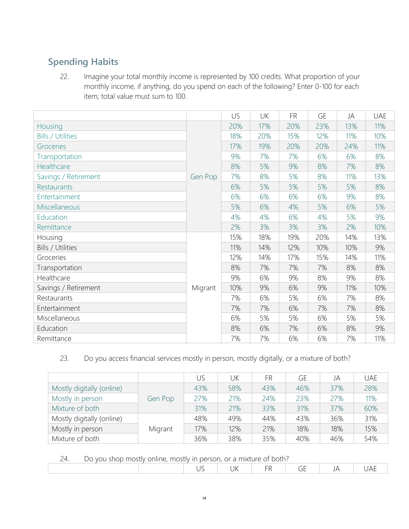# **Spending Habits**

22. Imagine your total monthly income is represented by 100 credits. What proportion of your monthly income, if anything, do you spend on each of the following? Enter 0-100 for each item; total value must sum to 100.

|                          |         | US  | UK  | <b>FR</b> | GE  | JA  | <b>UAE</b> |
|--------------------------|---------|-----|-----|-----------|-----|-----|------------|
| Housing                  |         | 20% | 17% | 20%       | 23% | 13% | 11%        |
| <b>Bills / Utilities</b> |         | 18% | 20% | 15%       | 12% | 11% | 10%        |
| Groceries                |         | 17% | 19% | 20%       | 20% | 24% | 11%        |
| Transportation           |         | 9%  | 7%  | 7%        | 6%  | 6%  | 8%         |
| Healthcare               |         | 8%  | 5%  | 9%        | 8%  | 7%  | 8%         |
| Savings / Retirement     | Gen Pop | 7%  | 8%  | 5%        | 8%  | 11% | 13%        |
| Restaurants              |         | 6%  | 5%  | 5%        | 5%  | 5%  | 8%         |
| Entertainment            |         | 6%  | 6%  | 6%        | 6%  | 9%  | 8%         |
| Miscellaneous            |         | 5%  | 6%  | 4%        | 5%  | 6%  | 5%         |
| Education                |         | 4%  | 4%  | 6%        | 4%  | 5%  | 9%         |
| Remittance               |         | 2%  | 3%  | 3%        | 3%  | 2%  | 10%        |
| Housing                  |         | 15% | 18% | 19%       | 20% | 14% | 13%        |
| Bills / Utilities        |         | 11% | 14% | 12%       | 10% | 10% | 9%         |
| Groceries                |         | 12% | 14% | 17%       | 15% | 14% | 11%        |
| Transportation           |         | 8%  | 7%  | 7%        | 7%  | 8%  | 8%         |
| Healthcare               |         | 9%  | 6%  | 9%        | 8%  | 9%  | 8%         |
| Savings / Retirement     | Migrant | 10% | 9%  | 6%        | 9%  | 11% | 10%        |
| Restaurants              |         | 7%  | 6%  | 5%        | 6%  | 7%  | 8%         |
| Entertainment            |         | 7%  | 7%  | 6%        | 7%  | 7%  | 8%         |
| Miscellaneous            |         | 6%  | 5%  | 5%        | 6%  | 5%  | 5%         |
| Education                |         | 8%  | 6%  | 7%        | 6%  | 8%  | 9%         |
| Remittance               |         | 7%  | 7%  | 6%        | 6%  | 7%  | 11%        |

23. Do you access financial services mostly in person, mostly digitally, or a mixture of both?

|                           |         | US  | UK  | <b>FR</b> | GE  | JA  | <b>UAE</b> |
|---------------------------|---------|-----|-----|-----------|-----|-----|------------|
| Mostly digitally (online) |         | 43% | 58% | 43%       | 46% | 37% | 28%        |
| Mostly in person          | Gen Pop | 27% | 21% | 24%       | 23% | 27% | 11%        |
| Mixture of both           |         | 31% | 21% | 33%       | 31% | 37% | 60%        |
| Mostly digitally (online) |         | 48% | 49% | 44%       | 43% | 36% | 31%        |
| Mostly in person          | Migrant | 17% | 12% | 21%       | 18% | 18% | 15%        |
| Mixture of both           |         | 36% | 38% | 35%       | 40% | 46% | 54%        |

24. Do you shop mostly online, mostly in person, or a mixture of both?

| - - | <u>o v vod snop mostry ommoninostry in polsony or a mintere or both.</u> |  |     |             |  |
|-----|--------------------------------------------------------------------------|--|-----|-------------|--|
|     |                                                                          |  | - - | ◡<br>$\sim$ |  |
|     |                                                                          |  |     |             |  |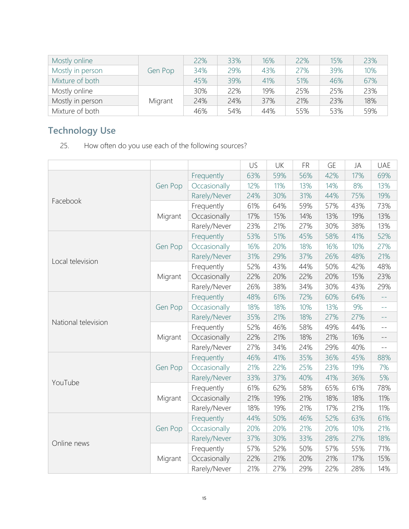| Mostly online    |         | 22% | 33% | 16% | 22% | 15% | 23% |
|------------------|---------|-----|-----|-----|-----|-----|-----|
| Mostly in person | Gen Pop | 34% | 29% | 43% | 27% | 39% | 10% |
| Mixture of both  |         | 45% | 39% | 41% | 51% | 46% | 67% |
| Mostly online    |         | 30% | 22% | 19% | 25% | 25% | 23% |
| Mostly in person | Migrant | 24% | 24% | 37% | 21% | 23% | 18% |
| Mixture of both  |         | 46% | 54% | 44% | 55% | 53% | 59% |

# **Technology Use**

25. How often do you use each of the following sources?

|                     |         |              | US  | UK  | <b>FR</b> | <b>GE</b> | JA  | <b>UAE</b>      |
|---------------------|---------|--------------|-----|-----|-----------|-----------|-----|-----------------|
|                     |         | Frequently   | 63% | 59% | 56%       | 42%       | 17% | 69%             |
|                     | Gen Pop | Occasionally | 12% | 11% | 13%       | 14%       | 8%  | 13%             |
|                     |         | Rarely/Never | 24% | 30% | 31%       | 44%       | 75% | 19%             |
| Facebook            |         | Frequently   | 61% | 64% | 59%       | 57%       | 43% | 73%             |
|                     | Migrant | Occasionally | 17% | 15% | 14%       | 13%       | 19% | 13%             |
|                     |         | Rarely/Never | 23% | 21% | 27%       | 30%       | 38% | 13%             |
|                     |         | Frequently   | 53% | 51% | 45%       | 58%       | 41% | 52%             |
|                     | Gen Pop | Occasionally | 16% | 20% | 18%       | 16%       | 10% | 27%             |
|                     |         | Rarely/Never | 31% | 29% | 37%       | 26%       | 48% | 21%             |
| Local television    |         | Frequently   | 52% | 43% | 44%       | 50%       | 42% | 48%             |
|                     | Migrant | Occasionally | 22% | 20% | 22%       | 20%       | 15% | 23%             |
|                     |         | Rarely/Never | 26% | 38% | 34%       | 30%       | 43% | 29%             |
|                     |         | Frequently   | 48% | 61% | 72%       | 60%       | 64% | $\perp$ $\perp$ |
|                     | Gen Pop | Occasionally | 18% | 18% | 10%       | 13%       | 9%  | $-1$            |
| National television |         | Rarely/Never | 35% | 21% | 18%       | 27%       | 27% | $ -$            |
|                     | Migrant | Frequently   | 52% | 46% | 58%       | 49%       | 44% | $- -$           |
|                     |         | Occasionally | 22% | 21% | 18%       | 21%       | 16% | $-\,-$          |
|                     |         | Rarely/Never | 27% | 34% | 24%       | 29%       | 40% | $- -$           |
|                     |         | Frequently   | 46% | 41% | 35%       | 36%       | 45% | 88%             |
|                     | Gen Pop | Occasionally | 21% | 22% | 25%       | 23%       | 19% | 7%              |
| YouTube             |         | Rarely/Never | 33% | 37% | 40%       | 41%       | 36% | 5%              |
|                     |         | Frequently   | 61% | 62% | 58%       | 65%       | 61% | 78%             |
|                     | Migrant | Occasionally | 21% | 19% | 21%       | 18%       | 18% | 11%             |
|                     |         | Rarely/Never | 18% | 19% | 21%       | 17%       | 21% | 11%             |
| Online news         |         | Frequently   | 44% | 50% | 46%       | 52%       | 63% | 61%             |
|                     | Gen Pop | Occasionally | 20% | 20% | 21%       | 20%       | 10% | 21%             |
|                     |         | Rarely/Never | 37% | 30% | 33%       | 28%       | 27% | 18%             |
|                     |         | Frequently   | 57% | 52% | 50%       | 57%       | 55% | 71%             |
|                     | Migrant | Occasionally | 22% | 21% | 20%       | 21%       | 17% | 15%             |
|                     |         | Rarely/Never | 21% | 27% | 29%       | 22%       | 28% | 14%             |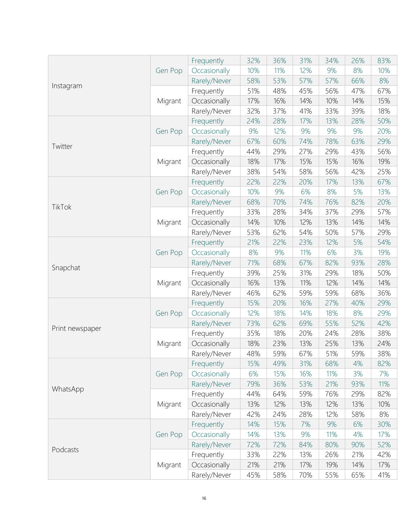|                 |         | Frequently   | 32% | 36% | 31% | 34% | 26% | 83% |
|-----------------|---------|--------------|-----|-----|-----|-----|-----|-----|
|                 | Gen Pop | Occasionally | 10% | 11% | 12% | 9%  | 8%  | 10% |
| Instagram       |         | Rarely/Never | 58% | 53% | 57% | 57% | 66% | 8%  |
|                 |         | Frequently   | 51% | 48% | 45% | 56% | 47% | 67% |
|                 | Migrant | Occasionally | 17% | 16% | 14% | 10% | 14% | 15% |
|                 |         | Rarely/Never | 32% | 37% | 41% | 33% | 39% | 18% |
|                 |         | Frequently   | 24% | 28% | 17% | 13% | 28% | 50% |
|                 | Gen Pop | Occasionally | 9%  | 12% | 9%  | 9%  | 9%  | 20% |
| Twitter         |         | Rarely/Never | 67% | 60% | 74% | 78% | 63% | 29% |
|                 |         | Frequently   | 44% | 29% | 27% | 29% | 43% | 56% |
|                 | Migrant | Occasionally | 18% | 17% | 15% | 15% | 16% | 19% |
|                 |         | Rarely/Never | 38% | 54% | 58% | 56% | 42% | 25% |
|                 |         | Frequently   | 22% | 22% | 20% | 17% | 13% | 67% |
|                 | Gen Pop | Occasionally | 10% | 9%  | 6%  | 8%  | 5%  | 13% |
|                 |         | Rarely/Never | 68% | 70% | 74% | 76% | 82% | 20% |
| TikTok          |         | Frequently   | 33% | 28% | 34% | 37% | 29% | 57% |
|                 | Migrant | Occasionally | 14% | 10% | 12% | 13% | 14% | 14% |
|                 |         | Rarely/Never | 53% | 62% | 54% | 50% | 57% | 29% |
|                 |         | Frequently   | 21% | 22% | 23% | 12% | 5%  | 54% |
|                 | Gen Pop | Occasionally | 8%  | 9%  | 11% | 6%  | 3%  | 19% |
|                 |         | Rarely/Never | 71% | 68% | 67% | 82% | 93% | 28% |
| Snapchat        |         | Frequently   | 39% | 25% | 31% | 29% | 18% | 50% |
|                 | Migrant | Occasionally | 16% | 13% | 11% | 12% | 14% | 14% |
|                 |         | Rarely/Never | 46% | 62% | 59% | 59% | 68% | 36% |
|                 |         | Frequently   | 15% | 20% | 16% | 27% | 40% | 29% |
|                 | Gen Pop | Occasionally | 12% | 18% | 14% | 18% | 8%  | 29% |
|                 |         | Rarely/Never | 73% | 62% | 69% | 55% | 52% | 42% |
| Print newspaper |         | Frequently   | 35% | 18% | 20% | 24% | 28% | 38% |
|                 | Migrant | Occasionally | 18% | 23% | 13% | 25% | 13% | 24% |
|                 |         | Rarely/Never | 48% | 59% | 67% | 51% | 59% | 38% |
|                 |         | Frequently   | 15% | 49% | 31% | 68% | 4%  | 82% |
|                 | Gen Pop | Occasionally | 6%  | 15% | 16% | 11% | 3%  | 7%  |
|                 |         | Rarely/Never | 79% | 36% | 53% | 21% | 93% | 11% |
| WhatsApp        |         | Frequently   | 44% | 64% | 59% | 76% | 29% | 82% |
|                 | Migrant | Occasionally | 13% | 12% | 13% | 12% | 13% | 10% |
|                 |         | Rarely/Never | 42% | 24% | 28% | 12% | 58% | 8%  |
|                 |         | Frequently   | 14% | 15% | 7%  | 9%  | 6%  | 30% |
|                 | Gen Pop | Occasionally | 14% | 13% | 9%  | 11% | 4%  | 17% |
|                 |         | Rarely/Never | 72% | 72% | 84% | 80% | 90% | 52% |
| Podcasts        |         | Frequently   | 33% | 22% | 13% | 26% | 21% | 42% |
|                 | Migrant | Occasionally | 21% | 21% | 17% | 19% | 14% | 17% |
|                 |         | Rarely/Never | 45% | 58% | 70% | 55% | 65% | 41% |
|                 |         |              |     |     |     |     |     |     |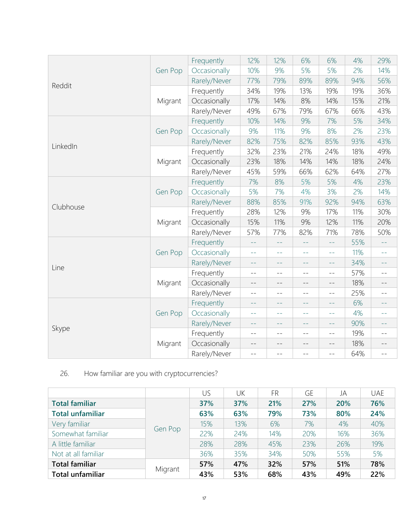|           |         | Frequently   | 12%   | 12%   | 6%    | 6%                | 4%  | 29%             |
|-----------|---------|--------------|-------|-------|-------|-------------------|-----|-----------------|
|           | Gen Pop | Occasionally | 10%   | 9%    | 5%    | 5%                | 2%  | 14%             |
|           |         | Rarely/Never | 77%   | 79%   | 89%   | 89%               | 94% | 56%             |
| Reddit    |         | Frequently   | 34%   | 19%   | 13%   | 19%               | 19% | 36%             |
|           | Migrant | Occasionally | 17%   | 14%   | 8%    | 14%               | 15% | 21%             |
|           |         | Rarely/Never | 49%   | 67%   | 79%   | 67%               | 66% | 43%             |
|           |         | Frequently   | 10%   | 14%   | 9%    | 7%                | 5%  | 34%             |
|           | Gen Pop | Occasionally | 9%    | 11%   | 9%    | 8%                | 2%  | 23%             |
|           |         | Rarely/Never | 82%   | 75%   | 82%   | 85%               | 93% | 43%             |
| LinkedIn  |         | Frequently   | 32%   | 23%   | 21%   | 24%               | 18% | 49%             |
|           | Migrant | Occasionally | 23%   | 18%   | 14%   | 14%               | 18% | 24%             |
|           |         | Rarely/Never | 45%   | 59%   | 66%   | 62%               | 64% | 27%             |
|           |         | Frequently   | 7%    | 8%    | 5%    | 5%                | 4%  | 23%             |
|           | Gen Pop | Occasionally | 5%    | 7%    | 4%    | 3%                | 2%  | 14%             |
|           |         | Rarely/Never | 88%   | 85%   | 91%   | 92%               | 94% | 63%             |
| Clubhouse | Migrant | Frequently   | 28%   | 12%   | 9%    | 17%               | 11% | 30%             |
|           |         | Occasionally | 15%   | 11%   | 9%    | 12%               | 11% | 20%             |
|           |         | Rarely/Never | 57%   | 77%   | 82%   | 71%               | 78% | 50%             |
|           |         | Frequently   | $ -$  | $ -$  | $ -$  | $\perp$ $\perp$   | 55% | $ -$            |
|           | Gen Pop | Occasionally | $-1$  | $-1$  | $-1$  | $ -$              | 11% | $-1$            |
| Line      |         | Rarely/Never | $- -$ | $ -$  | $- -$ | $- -$             | 34% | $\perp$ $\perp$ |
|           |         | Frequently   | $- -$ | $ -$  | $-$   | $-$               | 57% | $- -$           |
|           | Migrant | Occasionally | $- -$ | $--$  | $- -$ | $\qquad \qquad -$ | 18% | $- -$           |
|           |         | Rarely/Never | $- -$ | $- -$ | $- -$ | $- -$             | 25% | $- -$           |
|           |         | Frequently   | $ -$  | $ -$  | $ -$  | $ -$              | 6%  | $- -$           |
|           | Gen Pop | Occasionally | $ -$  | $ -$  | $ -$  | $ -$              | 4%  | $ -$            |
|           |         | Rarely/Never | $- -$ | $ -$  | $ -$  | $ -$              | 90% | $- -$           |
| Skype     |         | Frequently   | $- -$ | $- -$ | $- -$ | $- -$             | 19% | $- -$           |
|           | Migrant | Occasionally | $- -$ | $- -$ | $- -$ | $- -$             | 18% | $--$            |
|           |         | Rarely/Never | $- -$ | $- -$ | $- -$ | $-$               | 64% | $- -$           |

# 26. How familiar are you with cryptocurrencies?

|                         |         | US  | UΚ  | <b>FR</b> | GE  | JA  | <b>UAE</b> |
|-------------------------|---------|-----|-----|-----------|-----|-----|------------|
| <b>Total familiar</b>   |         | 37% | 37% | 21%       | 27% | 20% | 76%        |
| <b>Total unfamiliar</b> |         | 63% | 63% | 79%       | 73% | 80% | 24%        |
| Very familiar           |         | 15% | 13% | 6%        | 7%  | 4%  | 40%        |
| Somewhat familiar       | Gen Pop | 22% | 24% | 14%       | 20% | 16% | 36%        |
| A little familiar       |         | 28% | 28% | 45%       | 23% | 26% | 19%        |
| Not at all familiar     |         | 36% | 35% | 34%       | 50% | 55% | 5%         |
| <b>Total familiar</b>   |         | 57% | 47% | 32%       | 57% | 51% | 78%        |
| <b>Total unfamiliar</b> | Migrant | 43% | 53% | 68%       | 43% | 49% | 22%        |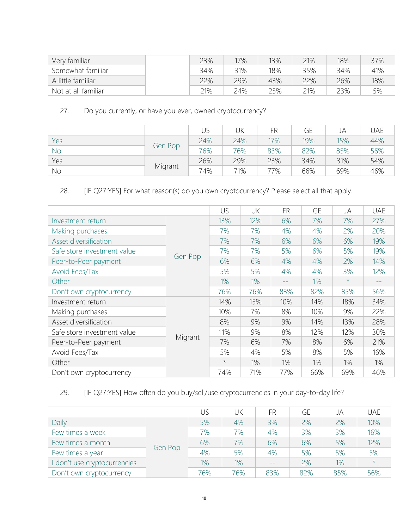| Very familiar       | 23% | 17% | 13% | 21% | 18% | 37% |
|---------------------|-----|-----|-----|-----|-----|-----|
| Somewhat familiar   | 34% | 31% | 18% | 35% | 34% | 41% |
| A little familiar   | 22% | 29% | 43% | 22% | 26% | 18% |
| Not at all familiar | 21% | 24% | 25% | 21% | 23% | 5%  |

### 27. Do you currently, or have you ever, owned cryptocurrency?

|           |         | US  | UK  | FR  | GE  | JA  | UAE |
|-----------|---------|-----|-----|-----|-----|-----|-----|
| Yes       |         | 24% | 24% | 17% | 19% | 15% | 44% |
| <b>No</b> | Gen Pop | 76% | 76% | 83% | 82% | 85% | 56% |
| Yes       |         | 26% | 29% | 23% | 34% | 31% | 54% |
| No        | Migrant | 74% | 71% | 77% | 66% | 69% | 46% |

28. [IF Q27:YES] For what reason(s) do you own cryptocurrency? Please select all that apply.

|                             |         | US      | UK  | <b>FR</b> | GE  | JA      | uae   |
|-----------------------------|---------|---------|-----|-----------|-----|---------|-------|
| Investment return           |         | 13%     | 12% | 6%        | 7%  | 7%      | 27%   |
| Making purchases            |         | 7%      | 7%  | 4%        | 4%  | 2%      | 20%   |
| Asset diversification       |         | 7%      | 7%  | 6%        | 6%  | 6%      | 19%   |
| Safe store investment value |         | 7%      | 7%  | 5%        | 6%  | 5%      | 19%   |
| Peer-to-Peer payment        | Gen Pop | 6%      | 6%  | 4%        | 4%  | 2%      | 14%   |
| Avoid Fees/Tax              |         | 5%      | 5%  | 4%        | 4%  | 3%      | 12%   |
| Other                       |         | 1%      | 1%  | $- -$     | 1%  | $\star$ | $- -$ |
| Don't own cryptocurrency    |         | 76%     | 76% | 83%       | 82% | 85%     | 56%   |
| Investment return           |         | 14%     | 15% | 10%       | 14% | 18%     | 34%   |
| Making purchases            |         | 10%     | 7%  | 8%        | 10% | 9%      | 22%   |
| Asset diversification       |         | 8%      | 9%  | 9%        | 14% | 13%     | 28%   |
| Safe store investment value |         | 11%     | 9%  | 8%        | 12% | 12%     | 30%   |
| Peer-to-Peer payment        | Migrant | 7%      | 6%  | 7%        | 8%  | 6%      | 21%   |
| Avoid Fees/Tax              |         | 5%      | 4%  | 5%        | 8%  | 5%      | 16%   |
| Other                       |         | $\star$ | 1%  | 1%        | 1%  | 1%      | 1%    |
| Don't own cryptocurrency    |         | 74%     | 71% | 77%       | 66% | 69%     | 46%   |

### 29. [IF Q27:YES] How often do you buy/sell/use cryptocurrencies in your day-to-day life?

|                            |         | US    | UK  | FR   | GE  | JA  | <b>UAE</b> |
|----------------------------|---------|-------|-----|------|-----|-----|------------|
| Daily                      |         | 5%    | 4%  | 3%   | 2%  | 2%  | 10%        |
| Few times a week           |         | 7%    | 7%  | 4%   | 3%  | 3%  | 16%        |
| Few times a month          |         | 6%    | 7%  | 6%   | 6%  | 5%  | 12%        |
| Few times a year           | Gen Pop | 4%    | 5%  | 4%   | 5%  | 5%  | 5%         |
| don't use cryptocurrencies |         | $1\%$ | 1%  | $ -$ | 2%  | 1%  | $\star$    |
| Don't own cryptocurrency   |         | 76%   | 76% | 83%  | 82% | 85% | 56%        |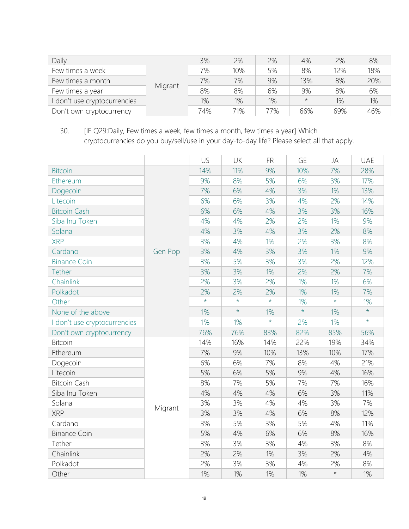| Daily                        |         | 3%  | 2%  | 2%  | 4%         | 2%  | 8%    |
|------------------------------|---------|-----|-----|-----|------------|-----|-------|
| Few times a week             |         | 7%  | 10% | 5%  | 8%         | 12% | 18%   |
| Few times a month            |         | 7%  | 7%  | 9%  | 13%        | 8%  | 20%   |
| Few times a year             | Migrant | 8%  | 8%  | 6%  | 9%         | 8%  | 6%    |
| I don't use cryptocurrencies |         | 1%  | 1%  | 1%  | $^{\star}$ | 1%  | $1\%$ |
| Don't own cryptocurrency     |         | 74% | 71% | 77% | 66%        | 69% | 46%   |

30. [IF Q29:Daily, Few times a week, few times a month, few times a year] Which cryptocurrencies do you buy/sell/use in your day-to-day life? Please select all that apply.

|                              |         | US      | UK      | <b>FR</b> | <b>GE</b> | JA      | <b>UAE</b> |
|------------------------------|---------|---------|---------|-----------|-----------|---------|------------|
| <b>Bitcoin</b>               |         | 14%     | 11%     | 9%        | 10%       | 7%      | 28%        |
| Ethereum                     |         | 9%      | 8%      | 5%        | 6%        | 3%      | 17%        |
| Dogecoin                     |         | 7%      | 6%      | 4%        | 3%        | 1%      | 13%        |
| Litecoin                     |         | 6%      | 6%      | 3%        | 4%        | 2%      | 14%        |
| <b>Bitcoin Cash</b>          |         | 6%      | 6%      | 4%        | 3%        | 3%      | 16%        |
| Siba Inu Token               |         | 4%      | 4%      | 2%        | 2%        | 1%      | 9%         |
| Solana                       |         | 4%      | 3%      | 4%        | 3%        | 2%      | 8%         |
| <b>XRP</b>                   |         | 3%      | 4%      | 1%        | 2%        | 3%      | 8%         |
| Cardano                      | Gen Pop | 3%      | 4%      | 3%        | 3%        | 1%      | 9%         |
| <b>Binance Coin</b>          |         | 3%      | 5%      | 3%        | 3%        | 2%      | 12%        |
| Tether                       |         | 3%      | 3%      | 1%        | 2%        | 2%      | 7%         |
| Chainlink                    |         | 2%      | 3%      | 2%        | 1%        | 1%      | 6%         |
| Polkadot                     |         | 2%      | 2%      | 2%        | $1\%$     | $1\%$   | 7%         |
| Other                        |         | $\star$ | $\star$ | $\star$   | $1\%$     | $\star$ | 1%         |
| None of the above            |         | 1%      | $\star$ | 1%        | $\star$   | 1%      | $\star$    |
| I don't use cryptocurrencies |         | $1\%$   | $1\%$   | $\star$   | 2%        | 1%      | $\star$    |
| Don't own cryptocurrency     |         | 76%     | 76%     | 83%       | 82%       | 85%     | 56%        |
| <b>Bitcoin</b>               |         | 14%     | 16%     | 14%       | 22%       | 19%     | 34%        |
| Ethereum                     |         | 7%      | 9%      | 10%       | 13%       | 10%     | 17%        |
| Dogecoin                     |         | 6%      | 6%      | 7%        | 8%        | 4%      | 21%        |
| Litecoin                     |         | 5%      | 6%      | 5%        | 9%        | 4%      | 16%        |
| <b>Bitcoin Cash</b>          |         | 8%      | 7%      | 5%        | 7%        | 7%      | 16%        |
| Siba Inu Token               |         | 4%      | 4%      | 4%        | 6%        | 3%      | 11%        |
| Solana                       | Migrant | 3%      | 3%      | 4%        | 4%        | 3%      | 7%         |
| <b>XRP</b>                   |         | 3%      | 3%      | 4%        | 6%        | 8%      | 12%        |
| Cardano                      |         | 3%      | 5%      | 3%        | 5%        | 4%      | 11%        |
| <b>Binance Coin</b>          |         | 5%      | 4%      | 6%        | 6%        | 8%      | 16%        |
| Tether                       |         | 3%      | 3%      | 3%        | 4%        | 3%      | 8%         |
| Chainlink                    |         | 2%      | 2%      | 1%        | 3%        | 2%      | 4%         |
| Polkadot                     |         | 2%      | 3%      | 3%        | 4%        | 2%      | 8%         |
| Other                        |         | $1\%$   | $1\%$   | 1%        | 1%        | $\star$ | 1%         |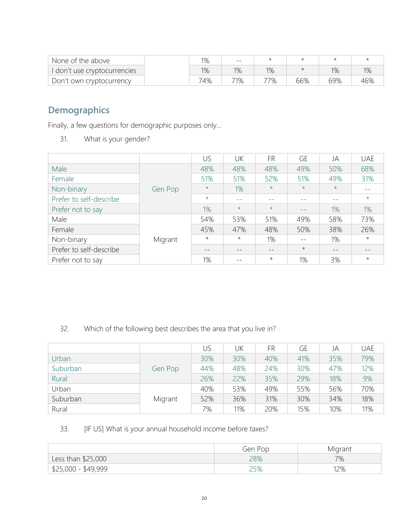| None of the above          | 1% | $\qquad \qquad -$ |       |     |     |     |
|----------------------------|----|-------------------|-------|-----|-----|-----|
| don't use cryptocurrencies | 1% | 1%                | $1\%$ |     | 1%  | 1%  |
| Don't own cryptocurrency   | 4% | 71%               | 77%   | 66% | 69% | 46% |

# **Demographics**

Finally, a few questions for demographic purposes only…

31. What is your gender?

|                         |         | US      | UK      | <b>FR</b> | GE      | JA      | <b>UAE</b> |
|-------------------------|---------|---------|---------|-----------|---------|---------|------------|
| Male                    |         | 48%     | 48%     | 48%       | 49%     | 50%     | 68%        |
| Female                  |         | 51%     | 51%     | 52%       | 51%     | 49%     | 31%        |
| Non-binary              | Gen Pop | $\star$ | 1%      | $\star$   | $\star$ | $\star$ |            |
| Prefer to self-describe |         | $\star$ | $ -$    |           |         |         | $\star$    |
| Prefer not to say       |         | 1%      | $\star$ | $\star$   | $- -$   | 1%      | 1%         |
| Male                    |         | 54%     | 53%     | 51%       | 49%     | 58%     | 73%        |
| Female                  |         | 45%     | 47%     | 48%       | 50%     | 38%     | 26%        |
| Non-binary              | Migrant | $\star$ | $\star$ | 1%        |         | 1%      | $\star$    |
| Prefer to self-describe |         | --      | --      |           | $\star$ | $- -$   |            |
| Prefer not to say       |         | 1%      |         | $\star$   | 1%      | 3%      | $\star$    |

### 32. Which of the following best describes the area that you live in?

|          |         | US  | UΚ  | FR  | GE  | JA  | <b>UAE</b> |
|----------|---------|-----|-----|-----|-----|-----|------------|
| Urban    |         | 30% | 30% | 40% | 41% | 35% | 79%        |
| Suburban | Gen Pop | 44% | 48% | 24% | 30% | 47% | 12%        |
| Rural    |         | 26% | 22% | 35% | 29% | 18% | 9%         |
| Urban    |         | 40% | 53% | 49% | 55% | 56% | 70%        |
| Suburban | Migrant | 52% | 36% | 31% | 30% | 34% | 18%        |
| Rural    |         | 7%  | 11% | 20% | 15% | 10% | 11%        |

### 33. [IF US] What is your annual household income before taxes?

|                                   | Gen Pop | Migrant |
|-----------------------------------|---------|---------|
| Less than \$25,000                | 28%     | 7%      |
| $\frac{1}{2}$ \$25,000 - \$49,999 |         | 12%     |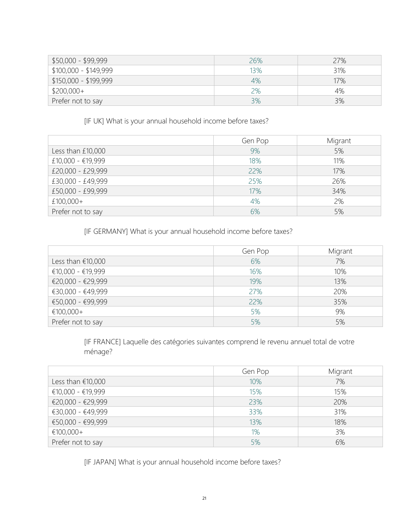| \$50,000 - \$99,999   | 26% | 27% |
|-----------------------|-----|-----|
| \$100,000 - \$149,999 | 13% | 31% |
| \$150,000 - \$199,999 | 4%  | 17% |
| $$200,000+$           | 2%  | 4%  |
| Prefer not to say     | 3%  | 3%  |

[IF UK] What is your annual household income before taxes?

|                   | Gen Pop | Migrant |
|-------------------|---------|---------|
| Less than £10,000 | 9%      | 5%      |
| £10,000 - €19,999 | 18%     | 11%     |
| £20,000 - £29,999 | 22%     | 17%     |
| £30,000 - £49,999 | 25%     | 26%     |
| £50,000 - £99,999 | 17%     | 34%     |
| £100,000+         | 4%      | 2%      |
| Prefer not to say | 6%      | 5%      |

[IF GERMANY] What is your annual household income before taxes?

|                     | Gen Pop | Migrant |
|---------------------|---------|---------|
| Less than $£10,000$ | 6%      | 7%      |
| €10,000 - €19,999   | 16%     | 10%     |
| €20,000 - €29,999   | 19%     | 13%     |
| €30,000 - €49,999   | 27%     | 20%     |
| €50,000 - €99,999   | 22%     | 35%     |
| €100,000+           | 5%      | 9%      |
| Prefer not to say   | 5%      | 5%      |

[IF FRANCE] Laquelle des catégories suivantes comprend le revenu annuel total de votre ménage?

|                     | Gen Pop | Migrant |
|---------------------|---------|---------|
| Less than $£10,000$ | 10%     | 7%      |
| €10,000 - €19,999   | 15%     | 15%     |
| €20,000 - €29,999   | 23%     | 20%     |
| €30,000 - €49,999   | 33%     | 31%     |
| €50,000 - €99,999   | 13%     | 18%     |
| €100,000+           | 1%      | 3%      |
| Prefer not to say   | 5%      | 6%      |

[IF JAPAN] What is your annual household income before taxes?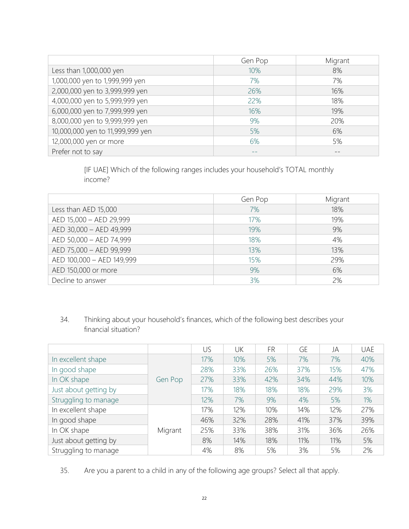|                                  | Gen Pop | Migrant |
|----------------------------------|---------|---------|
| Less than 1,000,000 yen          | 10%     | 8%      |
| 1,000,000 yen to 1,999,999 yen   | 7%      | 7%      |
| 2,000,000 yen to 3,999,999 yen   | 26%     | 16%     |
| 4,000,000 yen to 5,999,999 yen   | 22%     | 18%     |
| 6,000,000 yen to 7,999,999 yen   | 16%     | 19%     |
| 8,000,000 yen to 9,999,999 yen   | 9%      | 20%     |
| 10,000,000 yen to 11,999,999 yen | 5%      | 6%      |
| 12,000,000 yen or more           | 6%      | 5%      |
| Prefer not to say                |         |         |

[IF UAE] Which of the following ranges includes your household's TOTAL monthly income?

|                           | Gen Pop | Migrant |
|---------------------------|---------|---------|
| Less than AED 15,000      | 7%      | 18%     |
| AED 15,000 - AED 29,999   | 17%     | 19%     |
| AED 30,000 - AED 49,999   | 19%     | 9%      |
| AED 50,000 - AED 74,999   | 18%     | 4%      |
| AED 75,000 - AED 99,999   | 13%     | 13%     |
| AED 100,000 - AED 149,999 | 15%     | 29%     |
| AED 150,000 or more       | 9%      | 6%      |
| Decline to answer         | 3%      | 2%      |

### 34. Thinking about your household's finances, which of the following best describes your financial situation?

|                       |         | US  | UK  | FR  | <b>GE</b> | JA  | <b>UAE</b> |
|-----------------------|---------|-----|-----|-----|-----------|-----|------------|
| In excellent shape    |         | 17% | 10% | 5%  | 7%        | 7%  | 40%        |
| In good shape         |         | 28% | 33% | 26% | 37%       | 15% | 47%        |
| In OK shape           | Gen Pop | 27% | 33% | 42% | 34%       | 44% | 10%        |
| Just about getting by |         | 17% | 18% | 18% | 18%       | 29% | 3%         |
| Struggling to manage  |         | 12% | 7%  | 9%  | 4%        | 5%  | 1%         |
| In excellent shape    |         | 17% | 12% | 10% | 14%       | 12% | 27%        |
| In good shape         |         | 46% | 32% | 28% | 41%       | 37% | 39%        |
| In OK shape           | Migrant | 25% | 33% | 38% | 31%       | 36% | 26%        |
| Just about getting by |         | 8%  | 14% | 18% | 11%       | 11% | 5%         |
| Struggling to manage  |         | 4%  | 8%  | 5%  | 3%        | 5%  | 2%         |

35. Are you a parent to a child in any of the following age groups? Select all that apply.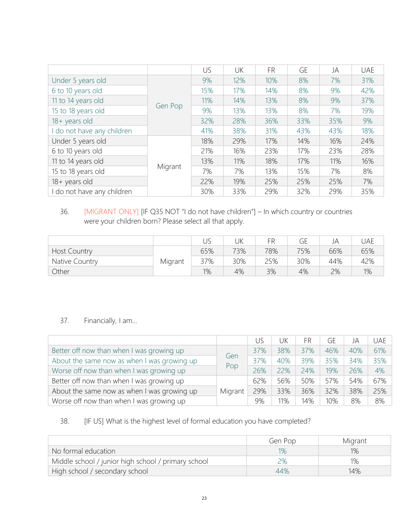|                          |         | US  | UK  | <b>FR</b> | <b>GE</b> | JA  | <b>UAE</b> |
|--------------------------|---------|-----|-----|-----------|-----------|-----|------------|
| Under 5 years old        |         | 9%  | 12% | 10%       | 8%        | 7%  | 31%        |
| 6 to 10 years old        |         | 15% | 17% | 14%       | 8%        | 9%  | 42%        |
| 11 to 14 years old       |         | 11% | 14% | 13%       | 8%        | 9%  | 37%        |
| 15 to 18 years old       | Gen Pop | 9%  | 13% | 13%       | 8%        | 7%  | 19%        |
| 18+ years old            |         | 32% | 28% | 36%       | 33%       | 35% | 9%         |
| do not have any children |         | 41% | 38% | 31%       | 43%       | 43% | 18%        |
| Under 5 years old        |         | 18% | 29% | 17%       | 14%       | 16% | 24%        |
| 6 to 10 years old        |         | 21% | 16% | 23%       | 17%       | 23% | 28%        |
| 11 to 14 years old       |         | 13% | 11% | 18%       | 17%       | 11% | 16%        |
| 15 to 18 years old       | Migrant | 7%  | 7%  | 13%       | 15%       | 7%  | 8%         |
| 18+ years old            |         | 22% | 19% | 25%       | 25%       | 25% | 7%         |
| do not have any children |         | 30% | 33% | 29%       | 32%       | 29% | 35%        |

### 36. [MIGRANT ONLY] [IF Q35 NOT "I do not have children"] – In which country or countries were your children born? Please select all that apply.

|                     |         |     | JΚ  | FR  | GE  | JA  | JAE |
|---------------------|---------|-----|-----|-----|-----|-----|-----|
| <b>Host Country</b> |         | 65% | 73% | 78% | 75% | 66% | 65% |
| Native Country      | Migrant | 37% | 30% | 25% | 30% | 44% | 42% |
| Other               |         | 1%  | 4%  | 3%  | 4%  | 2%  | 1%  |

### 37. Financially, I am…

|                                             |            | US  | JK  | FR  | GE  | JA  | <b>UAE</b> |
|---------------------------------------------|------------|-----|-----|-----|-----|-----|------------|
| Better off now than when I was growing up   |            | 37% | 38% | 37% | 46% | 40% | 61%        |
| About the same now as when I was growing up |            | 37% | 40% | 39% | 35% | 34% | 35%        |
| Worse off now than when I was growing up    | Gen<br>Pop | 26% | 22% | 24% | 19% | 26% | 4%         |
| Better off now than when I was growing up   |            | 62% | 56% | 50% | 57% | 54% | 67%        |
| About the same now as when I was growing up | Migrant    | 29% | 33% | 36% | 32% | 38% | 25%        |
| Worse off now than when I was growing up    |            | 9%  | 11% | 14% | 10% | 8%  | 8%         |

### 38. [IF US] What is the highest level of formal education you have completed?

|                                                     | Gen Pop | Migrant |
|-----------------------------------------------------|---------|---------|
| No formal education                                 | $1\%$   | 1%      |
| Middle school / junior high school / primary school | ၁%      | $1\%$   |
| High school / secondary school                      | 44%     | 14%     |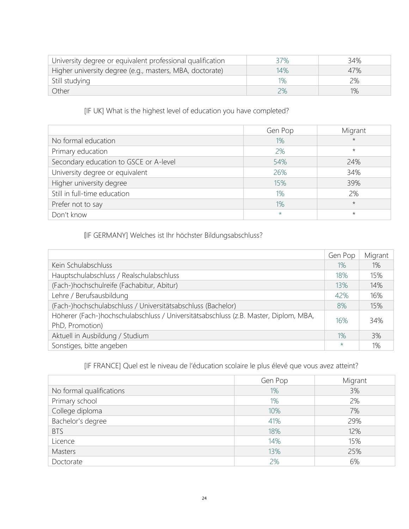| University degree or equivalent professional qualification | 37%   | 34% |
|------------------------------------------------------------|-------|-----|
| Higher university degree (e.g., masters, MBA, doctorate)   | 14%   | 47% |
| Still studying                                             | $1\%$ | 2%  |
| Other                                                      | 2%    | 1%  |

[IF UK] What is the highest level of education you have completed?

|                                        | Gen Pop | Migrant |
|----------------------------------------|---------|---------|
| No formal education                    | 1%      | $\star$ |
| Primary education                      | 2%      | $\star$ |
| Secondary education to GSCE or A-level | 54%     | 24%     |
| University degree or equivalent        | 26%     | 34%     |
| Higher university degree               | 15%     | 39%     |
| Still in full-time education           | 1%      | 2%      |
| Prefer not to say                      | 1%      | $\star$ |
| Don't know                             | $\star$ | $\star$ |

[IF GERMANY] Welches ist Ihr höchster Bildungsabschluss?

|                                                                                                         | Gen Pop | Migrant |
|---------------------------------------------------------------------------------------------------------|---------|---------|
| Kein Schulabschluss                                                                                     | $1\%$   | 1%      |
| Hauptschulabschluss / Realschulabschluss                                                                | 18%     | 15%     |
| (Fach-)hochschulreife (Fachabitur, Abitur)                                                              | 13%     | 14%     |
| Lehre / Berufsausbildung                                                                                | 42%     | 16%     |
| (Fach-)hochschulabschluss / Universitätsabschluss (Bachelor)                                            | 8%      | 15%     |
| Höherer (Fach-)hochschulabschluss / Universitätsabschluss (z.B. Master, Diplom, MBA,<br>PhD, Promotion) | 16%     | 34%     |
| Aktuell in Ausbildung / Studium                                                                         | $1\%$   | 3%      |
| Sonstiges, bitte angeben                                                                                | $\star$ | 1%      |

[IF FRANCE] Quel est le niveau de l'éducation scolaire le plus élevé que vous avez atteint?

|                          | Gen Pop | Migrant |
|--------------------------|---------|---------|
| No formal qualifications | 1%      | 3%      |
| Primary school           | 1%      | 2%      |
| College diploma          | 10%     | 7%      |
| Bachelor's degree        | 41%     | 29%     |
| <b>BTS</b>               | 18%     | 12%     |
| Licence                  | 14%     | 15%     |
| Masters                  | 13%     | 25%     |
| Doctorate                | 2%      | 6%      |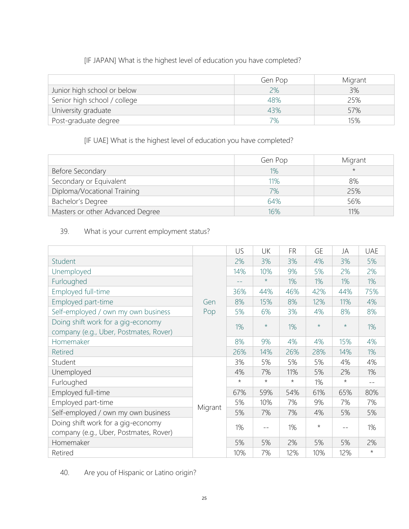### [IF JAPAN] What is the highest level of education you have completed?

|                              | Gen Pop | Migrant |
|------------------------------|---------|---------|
| Junior high school or below  | 2%      | 3%      |
| Senior high school / college | 48%     | 25%     |
| University graduate          | 43%     | 57%     |
| Post-graduate degree         | 7%      | 15%     |

### [IF UAE] What is the highest level of education you have completed?

|                                  | Gen Pop | Migrant |
|----------------------------------|---------|---------|
| Before Secondary                 | 1%      | $\star$ |
| Secondary or Equivalent          | 11%     | 8%      |
| Diploma/Vocational Training      | 7%      | 25%     |
| Bachelor's Degree                | 64%     | 56%     |
| Masters or other Advanced Degree | 16%     | 11%     |

### 39. What is your current employment status?

|                                        |                       | US      | UK      | <b>FR</b> | GE      | JA         | <b>UAE</b> |
|----------------------------------------|-----------------------|---------|---------|-----------|---------|------------|------------|
| Student                                |                       | 2%      | 3%      | 3%        | 4%      | 3%         | 5%         |
| Unemployed                             | Gen<br>Pop<br>Migrant | 14%     | 10%     | 9%        | 5%      | 2%         | 2%         |
| Furloughed                             |                       | --      | $\star$ | 1%        | 1%      | 1%         | 1%         |
| Employed full-time                     |                       | 36%     | 44%     | 46%       | 42%     | 44%        | 75%        |
| Employed part-time                     |                       | 8%      | 15%     | 8%        | 12%     | 11%        | 4%         |
| Self-employed / own my own business    |                       | 5%      | 6%      | 3%        | 4%      | 8%         | 8%         |
| Doing shift work for a gig-economy     |                       | 1%      | $\star$ | 1%        | $\star$ | $\star$    | 1%         |
| company (e.g., Uber, Postmates, Rover) |                       |         |         |           |         |            |            |
| Homemaker                              |                       | 8%      | 9%      | 4%        | 4%      | 15%        | 4%         |
| <b>Retired</b>                         |                       | 26%     | 14%     | 26%       | 28%     | 14%        | 1%         |
| Student                                |                       | 3%      | 5%      | 5%        | 5%      | 4%         | 4%         |
| Unemployed                             |                       | 4%      | 7%      | 11%       | 5%      | 2%         | 1%         |
| Furloughed                             |                       | $\star$ | $\star$ | $\star$   | 1%      | $^{\star}$ | $- -$      |
| Employed full-time                     |                       | 67%     | 59%     | 54%       | 61%     | 65%        | 80%        |
| Employed part-time                     |                       | 5%      | 10%     | 7%        | 9%      | 7%         | 7%         |
| Self-employed / own my own business    |                       | 5%      | 7%      | 7%        | 4%      | 5%         | 5%         |
| Doing shift work for a gig-economy     |                       | 1%      |         | 1%        | $\star$ |            | 1%         |
| company (e.g., Uber, Postmates, Rover) |                       |         |         |           |         |            |            |
| Homemaker                              |                       | 5%      | 5%      | 2%        | 5%      | 5%         | 2%         |
| Retired                                |                       | 10%     | 7%      | 12%       | 10%     | 12%        | $\star$    |

40. Are you of Hispanic or Latino origin?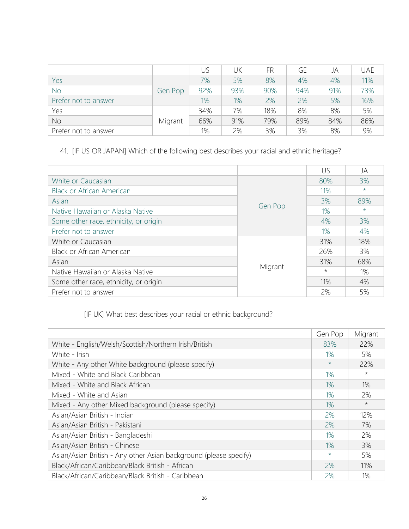|                      |         | US  | UK    | FR  | GE  | JA  | <b>UAE</b> |
|----------------------|---------|-----|-------|-----|-----|-----|------------|
| Yes                  |         | 7%  | 5%    | 8%  | 4%  | 4%  | 11%        |
| <b>No</b>            | Gen Pop | 92% | 93%   | 90% | 94% | 91% | 73%        |
| Prefer not to answer |         | 1%  | $1\%$ | 2%  | 2%  | 5%  | 16%        |
| Yes                  |         | 34% | 7%    | 18% | 8%  | 8%  | 5%         |
| <b>No</b>            | Migrant | 66% | 91%   | 79% | 89% | 84% | 86%        |
| Prefer not to answer |         | 1%  | 2%    | 3%  | 3%  | 8%  | 9%         |

## 41. [IF US OR JAPAN] Which of the following best describes your racial and ethnic heritage?

|                                       |         | US      | JA      |
|---------------------------------------|---------|---------|---------|
| White or Caucasian                    | Gen Pop | 80%     | 3%      |
| <b>Black or African American</b>      |         | 11%     | $\star$ |
| Asian                                 |         | 3%      | 89%     |
| Native Hawaiian or Alaska Native      |         | 1%      | $\star$ |
| Some other race, ethnicity, or origin |         | 4%      | 3%      |
| Prefer not to answer                  |         | 1%      | 4%      |
| White or Caucasian                    | Migrant | 31%     | 18%     |
| <b>Black or African American</b>      |         | 26%     | 3%      |
| Asian                                 |         | 31%     | 68%     |
| Native Hawaiian or Alaska Native      |         | $\star$ | 1%      |
| Some other race, ethnicity, or origin |         | 11%     | 4%      |
| Prefer not to answer                  |         | 2%      | 5%      |

# [IF UK] What best describes your racial or ethnic background?

|                                                                   | Gen Pop | Migrant    |
|-------------------------------------------------------------------|---------|------------|
| White - English/Welsh/Scottish/Northern Irish/British             | 83%     | 22%        |
| White - Irish                                                     | $1\%$   | 5%         |
| White - Any other White background (please specify)               | $\star$ | 22%        |
| Mixed - White and Black Caribbean                                 | 1%      | $^{\star}$ |
| Mixed - White and Black African                                   | $1\%$   | 1%         |
| Mixed - White and Asian                                           | $1\%$   | 2%         |
| Mixed - Any other Mixed background (please specify)               | $1\%$   | $\star$    |
| Asian/Asian British - Indian                                      | 2%      | 12%        |
| Asian/Asian British - Pakistani                                   | 2%      | 7%         |
| Asian/Asian British - Bangladeshi                                 | 1%      | 2%         |
| Asian/Asian British - Chinese                                     | 1%      | 3%         |
| Asian/Asian British - Any other Asian background (please specify) | $\star$ | 5%         |
| Black/African/Caribbean/Black British - African                   | 2%      | 11%        |
| Black/African/Caribbean/Black British - Caribbean                 | 2%      | 1%         |